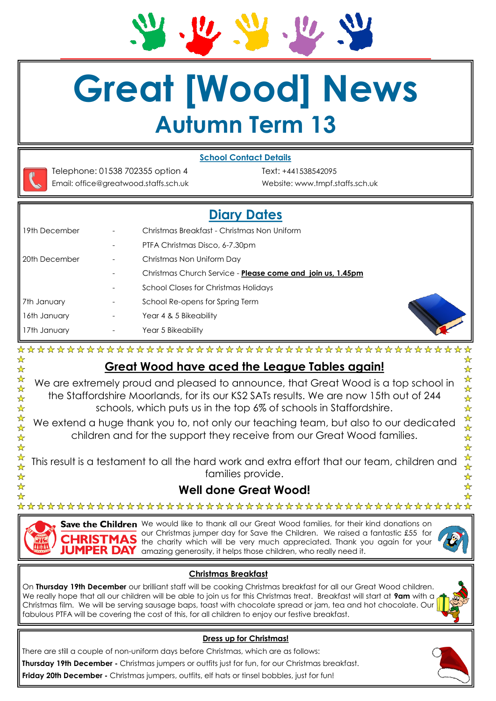**Great [Wood] News**

# **Autumn Term 13**





☆

☆☆☆☆☆☆☆☆☆☆☆☆☆☆

☆

Telephone: 01538 702355 option 4 Text: +441538542095 Email: office@greatwood.staffs.sch.uk Website: www.tmpf.staffs.sch.uk

VI.

# **Diary Dates**

| 19th December          |                          | Christmas Breakfast - Christmas Non Uniform                |
|------------------------|--------------------------|------------------------------------------------------------|
|                        | $\overline{\phantom{a}}$ | PTFA Christmas Disco, 6-7.30pm                             |
| <b>I</b> 20th December | -                        | Christmas Non Uniform Day                                  |
|                        | -                        | Christmas Church Service - Please come and join us, 1.45pm |
|                        | $\overline{\phantom{a}}$ | School Closes for Christmas Holidays                       |
| 7th January            |                          | School Re-opens for Spring Term                            |
| 16th January           | $\overline{\phantom{a}}$ | Year 4 & 5 Bikeability                                     |
| 17th January           | -                        | Year 5 Bikeability                                         |
|                        |                          |                                                            |



☆

 $\frac{\lambda}{\lambda}$  $\frac{1}{\mathcal{N}}$ 

 $\frac{\lambda}{\lambda}$ 

\*\*\*\*\*

# **Great Wood have aced the League Tables again!**

We are extremely proud and pleased to announce, that Great Wood is a top school in the Staffordshire Moorlands, for its our KS2 SATs results. We are now 15th out of 244 schools, which puts us in the top 6% of schools in Staffordshire.

We extend a huge thank you to, not only our teaching team, but also to our dedicated children and for the support they receive from our Great Wood families.

This result is a testament to all the hard work and extra effort that our team, children and families provide.

# **Well done Great Wood!**

Save the Children We would like to thank all our Great Wood families, for their kind donations on our Christmas jumper day for Save the Children. We raised a fantastic £55 for the charity which will be very much appreciated. Thank you again for your JUMPER DAY amazing generosity, it helps those children, who really need it.

## **Christmas Breakfast**

On **Thursday 19th December** our brilliant staff will be cooking Christmas breakfast for all our Great Wood children. We really hope that all our children will be able to join us for this Christmas treat. Breakfast will start at **9am** with a Christmas film. We will be serving sausage baps, toast with chocolate spread or jam, tea and hot chocolate. Our fabulous PTFA will be covering the cost of this, for all children to enjoy our festive breakfast.



### **Dress up for Christmas!**

There are still a couple of non-uniform days before Christmas, which are as follows:

**Thursday 19th December -** Christmas jumpers or outfits just for fun, for our Christmas breakfast.

**Friday 20th December -** Christmas jumpers, outfits, elf hats or tinsel bobbles, just for fun!